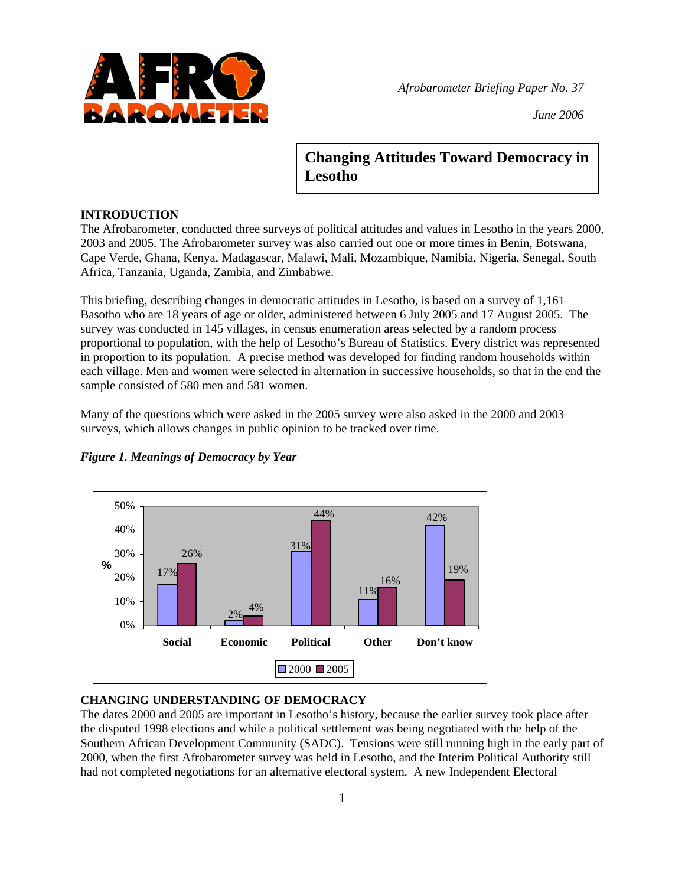

*Afrobarometer Briefing Paper No. 37* 

*June 2006*

# **Changing Attitudes Toward Democracy in Lesotho**

# **INTRODUCTION**

The Afrobarometer, conducted three surveys of political attitudes and values in Lesotho in the years 2000, 2003 and 2005. The Afrobarometer survey was also carried out one or more times in Benin, Botswana, Cape Verde, Ghana, Kenya, Madagascar, Malawi, Mali, Mozambique, Namibia, Nigeria, Senegal, South Africa, Tanzania, Uganda, Zambia, and Zimbabwe.

This briefing, describing changes in democratic attitudes in Lesotho, is based on a survey of 1,161 Basotho who are 18 years of age or older, administered between 6 July 2005 and 17 August 2005. The survey was conducted in 145 villages, in census enumeration areas selected by a random process proportional to population, with the help of Lesotho's Bureau of Statistics. Every district was represented in proportion to its population. A precise method was developed for finding random households within each village. Men and women were selected in alternation in successive households, so that in the end the sample consisted of 580 men and 581 women.

Many of the questions which were asked in the 2005 survey were also asked in the 2000 and 2003 surveys, which allows changes in public opinion to be tracked over time.



# *Figure 1. Meanings of Democracy by Year*

# **CHANGING UNDERSTANDING OF DEMOCRACY**

The dates 2000 and 2005 are important in Lesotho's history, because the earlier survey took place after the disputed 1998 elections and while a political settlement was being negotiated with the help of the Southern African Development Community (SADC). Tensions were still running high in the early part of 2000, when the first Afrobarometer survey was held in Lesotho, and the Interim Political Authority still had not completed negotiations for an alternative electoral system. A new Independent Electoral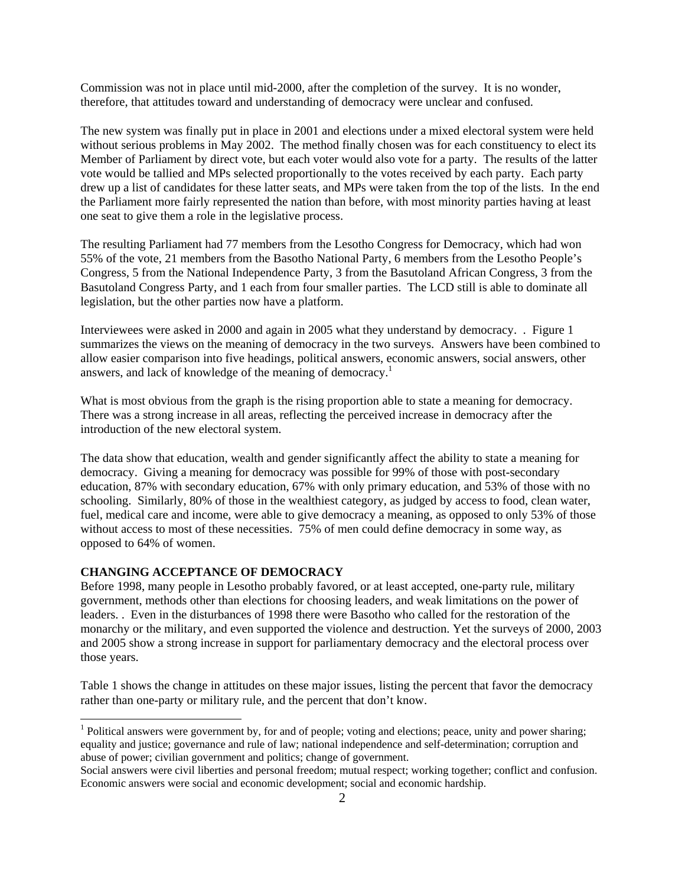Commission was not in place until mid-2000, after the completion of the survey. It is no wonder, therefore, that attitudes toward and understanding of democracy were unclear and confused.

The new system was finally put in place in 2001 and elections under a mixed electoral system were held without serious problems in May 2002. The method finally chosen was for each constituency to elect its Member of Parliament by direct vote, but each voter would also vote for a party. The results of the latter vote would be tallied and MPs selected proportionally to the votes received by each party. Each party drew up a list of candidates for these latter seats, and MPs were taken from the top of the lists. In the end the Parliament more fairly represented the nation than before, with most minority parties having at least one seat to give them a role in the legislative process.

The resulting Parliament had 77 members from the Lesotho Congress for Democracy, which had won 55% of the vote, 21 members from the Basotho National Party, 6 members from the Lesotho People's Congress, 5 from the National Independence Party, 3 from the Basutoland African Congress, 3 from the Basutoland Congress Party, and 1 each from four smaller parties. The LCD still is able to dominate all legislation, but the other parties now have a platform.

Interviewees were asked in 2000 and again in 2005 what they understand by democracy. . Figure 1 summarizes the views on the meaning of democracy in the two surveys. Answers have been combined to allow easier comparison into five headings, political answers, economic answers, social answers, other answers, and lack of knowledge of the meaning of democracy.<sup>1</sup>

What is most obvious from the graph is the rising proportion able to state a meaning for democracy. There was a strong increase in all areas, reflecting the perceived increase in democracy after the introduction of the new electoral system.

The data show that education, wealth and gender significantly affect the ability to state a meaning for democracy. Giving a meaning for democracy was possible for 99% of those with post-secondary education, 87% with secondary education, 67% with only primary education, and 53% of those with no schooling. Similarly, 80% of those in the wealthiest category, as judged by access to food, clean water, fuel, medical care and income, were able to give democracy a meaning, as opposed to only 53% of those without access to most of these necessities. 75% of men could define democracy in some way, as opposed to 64% of women.

## **CHANGING ACCEPTANCE OF DEMOCRACY**

 $\overline{a}$ 

Before 1998, many people in Lesotho probably favored, or at least accepted, one-party rule, military government, methods other than elections for choosing leaders, and weak limitations on the power of leaders. . Even in the disturbances of 1998 there were Basotho who called for the restoration of the monarchy or the military, and even supported the violence and destruction. Yet the surveys of 2000, 2003 and 2005 show a strong increase in support for parliamentary democracy and the electoral process over those years.

Table 1 shows the change in attitudes on these major issues, listing the percent that favor the democracy rather than one-party or military rule, and the percent that don't know.

 $<sup>1</sup>$  Political answers were government by, for and of people; voting and elections; peace, unity and power sharing;</sup> equality and justice; governance and rule of law; national independence and self-determination; corruption and abuse of power; civilian government and politics; change of government.

Social answers were civil liberties and personal freedom; mutual respect; working together; conflict and confusion. Economic answers were social and economic development; social and economic hardship.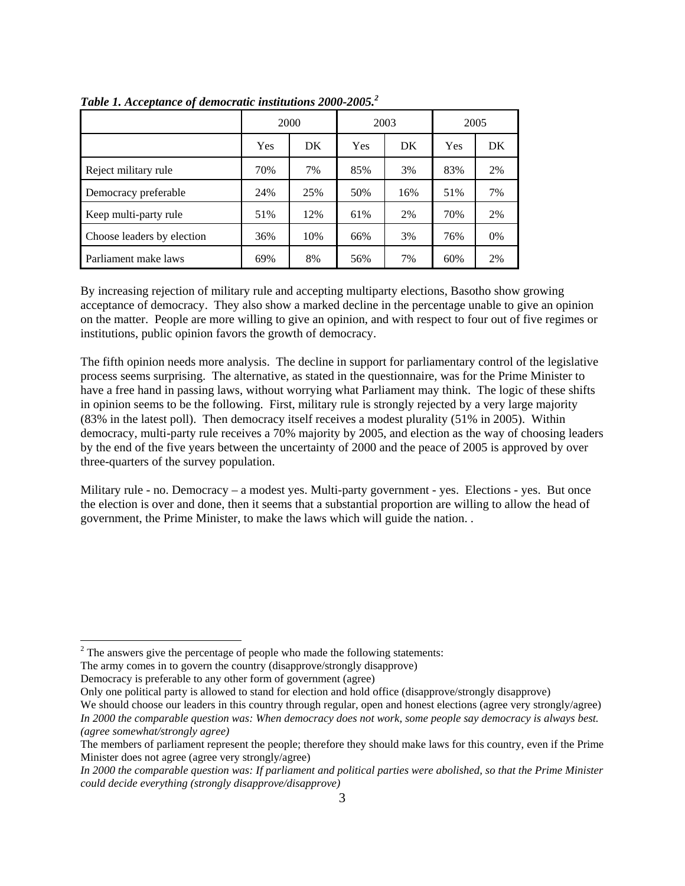|                            | 2000 |     | 2003       |     | 2005 |       |
|----------------------------|------|-----|------------|-----|------|-------|
|                            | Yes  | DK  | <b>Yes</b> | DK  | Yes  | DK    |
| Reject military rule       | 70%  | 7%  | 85%        | 3%  | 83%  | 2%    |
| Democracy preferable       | 24%  | 25% | 50%        | 16% | 51%  | 7%    |
| Keep multi-party rule      | 51%  | 12% | 61%        | 2%  | 70%  | 2%    |
| Choose leaders by election | 36%  | 10% | 66%        | 3%  | 76%  | $0\%$ |
| Parliament make laws       | 69%  | 8%  | 56%        | 7%  | 60%  | 2%    |

Table 1. Acceptance of democratic institutions 2000-2005.<sup>2</sup>

By increasing rejection of military rule and accepting multiparty elections, Basotho show growing acceptance of democracy. They also show a marked decline in the percentage unable to give an opinion on the matter. People are more willing to give an opinion, and with respect to four out of five regimes or institutions, public opinion favors the growth of democracy.

The fifth opinion needs more analysis. The decline in support for parliamentary control of the legislative process seems surprising. The alternative, as stated in the questionnaire, was for the Prime Minister to have a free hand in passing laws, without worrying what Parliament may think. The logic of these shifts in opinion seems to be the following. First, military rule is strongly rejected by a very large majority (83% in the latest poll). Then democracy itself receives a modest plurality (51% in 2005). Within democracy, multi-party rule receives a 70% majority by 2005, and election as the way of choosing leaders by the end of the five years between the uncertainty of 2000 and the peace of 2005 is approved by over three-quarters of the survey population.

Military rule - no. Democracy – a modest yes. Multi-party government - yes. Elections - yes. But once the election is over and done, then it seems that a substantial proportion are willing to allow the head of government, the Prime Minister, to make the laws which will guide the nation. .

The army comes in to govern the country (disapprove/strongly disapprove)

Democracy is preferable to any other form of government (agree)

 $\overline{a}$ 

Only one political party is allowed to stand for election and hold office (disapprove/strongly disapprove)

 $2^2$  The answers give the percentage of people who made the following statements:

We should choose our leaders in this country through regular, open and honest elections (agree very strongly/agree) *In 2000 the comparable question was: When democracy does not work, some people say democracy is always best. (agree somewhat/strongly agree)* 

The members of parliament represent the people; therefore they should make laws for this country, even if the Prime Minister does not agree (agree very strongly/agree)

*In 2000 the comparable question was: If parliament and political parties were abolished, so that the Prime Minister could decide everything (strongly disapprove/disapprove)*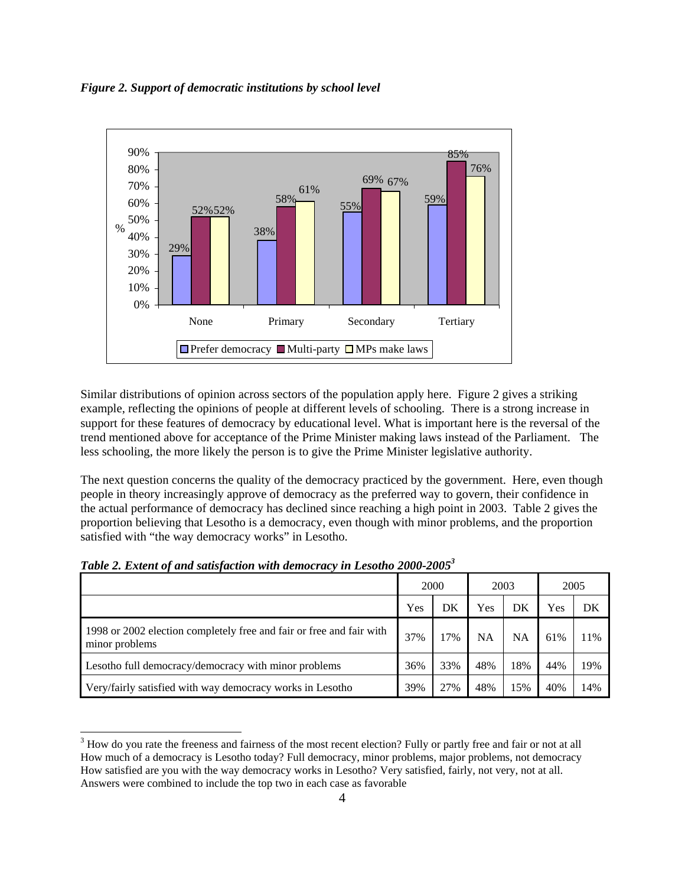*Figure 2. Support of democratic institutions by school level* 



Similar distributions of opinion across sectors of the population apply here. Figure 2 gives a striking example, reflecting the opinions of people at different levels of schooling. There is a strong increase in support for these features of democracy by educational level. What is important here is the reversal of the trend mentioned above for acceptance of the Prime Minister making laws instead of the Parliament. The less schooling, the more likely the person is to give the Prime Minister legislative authority.

The next question concerns the quality of the democracy practiced by the government. Here, even though people in theory increasingly approve of democracy as the preferred way to govern, their confidence in the actual performance of democracy has declined since reaching a high point in 2003. Table 2 gives the proportion believing that Lesotho is a democracy, even though with minor problems, and the proportion satisfied with "the way democracy works" in Lesotho.

| Table 2. Extent of and satisfaction with democracy in Lesotho 2000-2005 <sup>3</sup> |  |  |  |  |
|--------------------------------------------------------------------------------------|--|--|--|--|
|                                                                                      |  |  |  |  |

 $\overline{a}$ 

|                                                                                        | 2000 |     | 2003      |     | 2005 |     |
|----------------------------------------------------------------------------------------|------|-----|-----------|-----|------|-----|
|                                                                                        | Yes  | DK  | Yes       | DK  | Yes  | DK  |
| 1998 or 2002 election completely free and fair or free and fair with<br>minor problems | 37%  | 17% | <b>NA</b> | NA  | 61%  | 11% |
| Lesotho full democracy/democracy with minor problems                                   | 36%  | 33% | 48%       | 18% | 44%  | 19% |
| Very/fairly satisfied with way democracy works in Lesotho                              | 39%  | 27% | 48%       | 15% | 40%  | 14% |

 $3$  How do you rate the freeness and fairness of the most recent election? Fully or partly free and fair or not at all How much of a democracy is Lesotho today? Full democracy, minor problems, major problems, not democracy How satisfied are you with the way democracy works in Lesotho? Very satisfied, fairly, not very, not at all. Answers were combined to include the top two in each case as favorable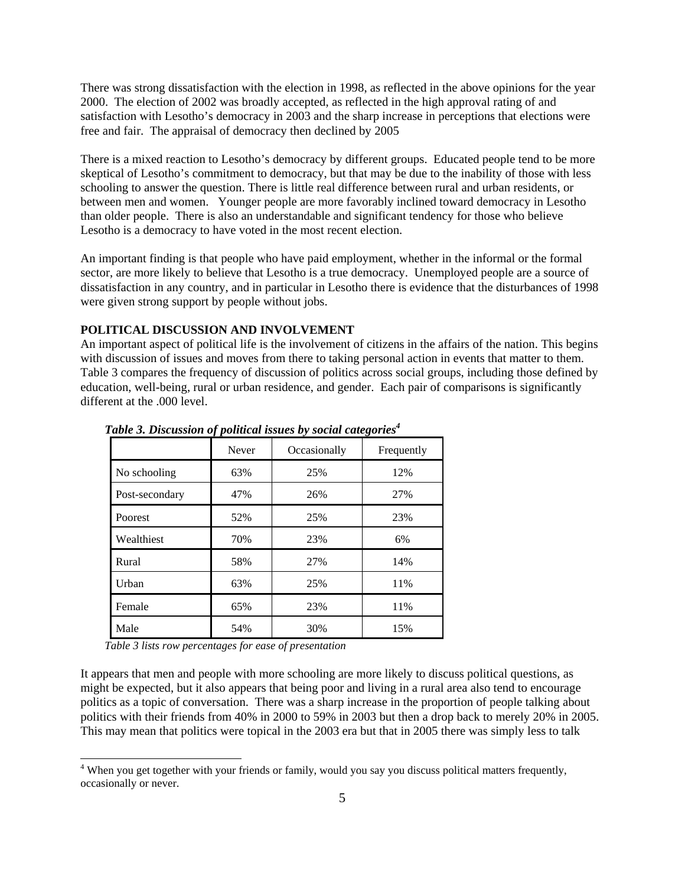There was strong dissatisfaction with the election in 1998, as reflected in the above opinions for the year 2000. The election of 2002 was broadly accepted, as reflected in the high approval rating of and satisfaction with Lesotho's democracy in 2003 and the sharp increase in perceptions that elections were free and fair. The appraisal of democracy then declined by 2005

There is a mixed reaction to Lesotho's democracy by different groups. Educated people tend to be more skeptical of Lesotho's commitment to democracy, but that may be due to the inability of those with less schooling to answer the question. There is little real difference between rural and urban residents, or between men and women. Younger people are more favorably inclined toward democracy in Lesotho than older people. There is also an understandable and significant tendency for those who believe Lesotho is a democracy to have voted in the most recent election.

An important finding is that people who have paid employment, whether in the informal or the formal sector, are more likely to believe that Lesotho is a true democracy. Unemployed people are a source of dissatisfaction in any country, and in particular in Lesotho there is evidence that the disturbances of 1998 were given strong support by people without jobs.

# **POLITICAL DISCUSSION AND INVOLVEMENT**

An important aspect of political life is the involvement of citizens in the affairs of the nation. This begins with discussion of issues and moves from there to taking personal action in events that matter to them. Table 3 compares the frequency of discussion of politics across social groups, including those defined by education, well-being, rural or urban residence, and gender. Each pair of comparisons is significantly different at the .000 level.

|                | <b>Never</b> | Occasionally | Frequently |
|----------------|--------------|--------------|------------|
| No schooling   | 63%          | 25%          | 12%        |
| Post-secondary | 47%          | 26%          | 27%        |
| Poorest        | 52%          | 25%          | 23%        |
| Wealthiest     | 70%          | 23%          | 6%         |
| Rural          | 58%          | 27%          | 14%        |
| Urban          | 63%          | 25%          | 11%        |
| Female         | 65%          | 23%          | 11%        |
| Male           | 54%          | 30%          | 15%        |

*Table 3. Discussion of political issues by social categories*<sup>4</sup>

*Table 3 lists row percentages for ease of presentation* 

 $\overline{a}$ 

It appears that men and people with more schooling are more likely to discuss political questions, as might be expected, but it also appears that being poor and living in a rural area also tend to encourage politics as a topic of conversation. There was a sharp increase in the proportion of people talking about politics with their friends from 40% in 2000 to 59% in 2003 but then a drop back to merely 20% in 2005. This may mean that politics were topical in the 2003 era but that in 2005 there was simply less to talk

<sup>&</sup>lt;sup>4</sup> When you get together with your friends or family, would you say you discuss political matters frequently, occasionally or never.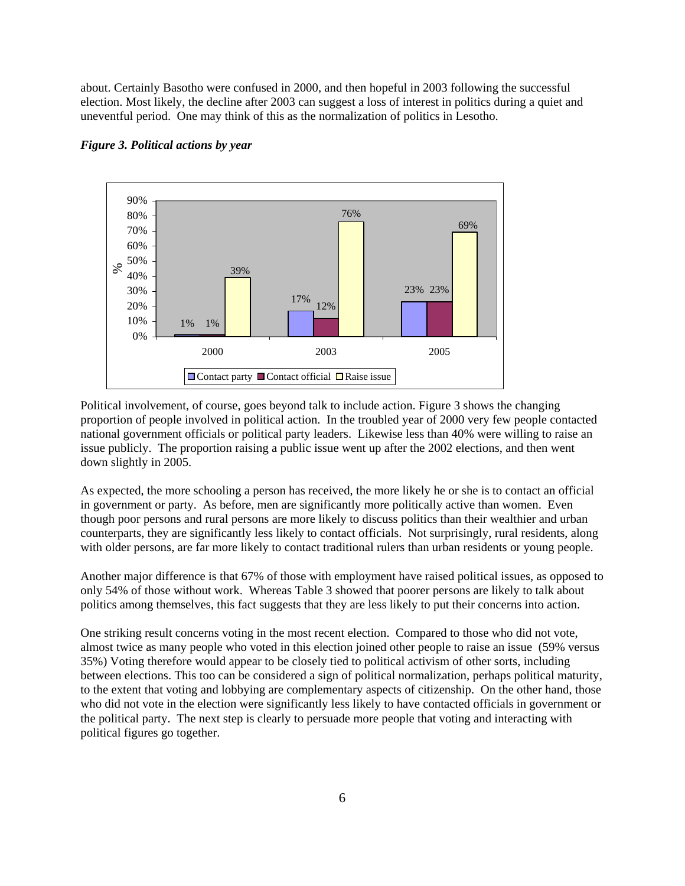about. Certainly Basotho were confused in 2000, and then hopeful in 2003 following the successful election. Most likely, the decline after 2003 can suggest a loss of interest in politics during a quiet and uneventful period. One may think of this as the normalization of politics in Lesotho.



### *Figure 3. Political actions by year*

Political involvement, of course, goes beyond talk to include action. Figure 3 shows the changing proportion of people involved in political action. In the troubled year of 2000 very few people contacted national government officials or political party leaders. Likewise less than 40% were willing to raise an issue publicly. The proportion raising a public issue went up after the 2002 elections, and then went down slightly in 2005.

As expected, the more schooling a person has received, the more likely he or she is to contact an official in government or party. As before, men are significantly more politically active than women. Even though poor persons and rural persons are more likely to discuss politics than their wealthier and urban counterparts, they are significantly less likely to contact officials. Not surprisingly, rural residents, along with older persons, are far more likely to contact traditional rulers than urban residents or young people.

Another major difference is that 67% of those with employment have raised political issues, as opposed to only 54% of those without work. Whereas Table 3 showed that poorer persons are likely to talk about politics among themselves, this fact suggests that they are less likely to put their concerns into action.

One striking result concerns voting in the most recent election. Compared to those who did not vote, almost twice as many people who voted in this election joined other people to raise an issue (59% versus 35%) Voting therefore would appear to be closely tied to political activism of other sorts, including between elections. This too can be considered a sign of political normalization, perhaps political maturity, to the extent that voting and lobbying are complementary aspects of citizenship. On the other hand, those who did not vote in the election were significantly less likely to have contacted officials in government or the political party. The next step is clearly to persuade more people that voting and interacting with political figures go together.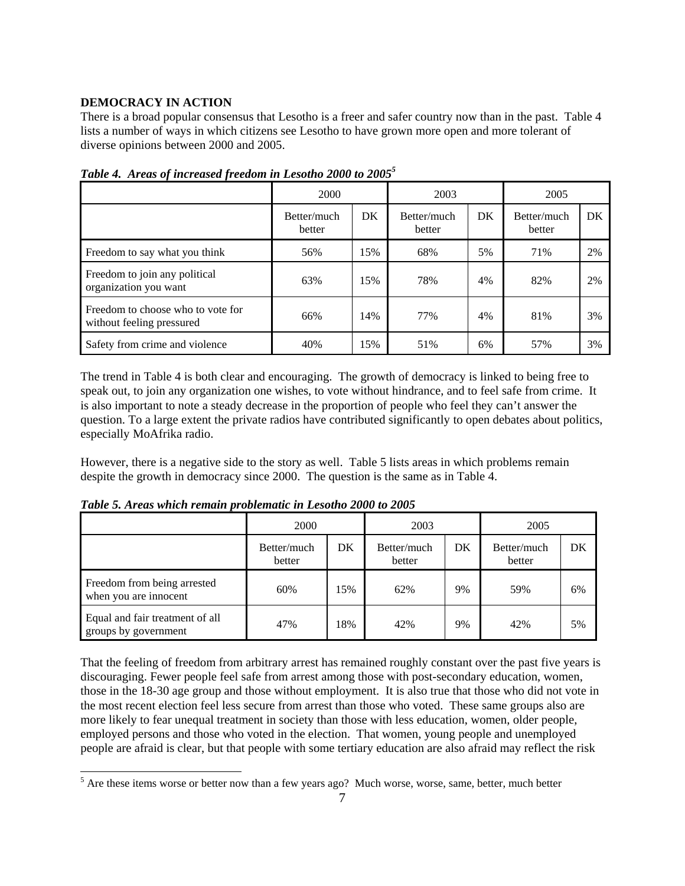# **DEMOCRACY IN ACTION**

There is a broad popular consensus that Lesotho is a freer and safer country now than in the past. Table 4 lists a number of ways in which citizens see Lesotho to have grown more open and more tolerant of diverse opinions between 2000 and 2005.

|                                                                | 2000                  |     | 2003                  |     | 2005                  |    |
|----------------------------------------------------------------|-----------------------|-----|-----------------------|-----|-----------------------|----|
|                                                                | Better/much<br>better | DK  | Better/much<br>better | DK. | Better/much<br>better | DK |
| Freedom to say what you think                                  | 56%                   | 15% | 68%                   | 5%  | 71%                   | 2% |
| Freedom to join any political<br>organization you want         | 63%                   | 15% | 78%                   | 4%  | 82%                   | 2% |
| Freedom to choose who to vote for<br>without feeling pressured | 66%                   | 14% | 77%                   | 4%  | 81%                   | 3% |
| Safety from crime and violence                                 | 40%                   | 15% | 51%                   | 6%  | 57%                   | 3% |

*Table 4. Areas of increased freedom in Lesotho 2000 to 20055*

The trend in Table 4 is both clear and encouraging. The growth of democracy is linked to being free to speak out, to join any organization one wishes, to vote without hindrance, and to feel safe from crime. It is also important to note a steady decrease in the proportion of people who feel they can't answer the question. To a large extent the private radios have contributed significantly to open debates about politics, especially MoAfrika radio.

However, there is a negative side to the story as well. Table 5 lists areas in which problems remain despite the growth in democracy since 2000. The question is the same as in Table 4.

*Table 5. Areas which remain problematic in Lesotho 2000 to 2005*

|                                                         | 2000                  |     | 2003                  |    | 2005                  |    |
|---------------------------------------------------------|-----------------------|-----|-----------------------|----|-----------------------|----|
|                                                         | Better/much<br>better | DK  | Better/much<br>better | DK | Better/much<br>better | DK |
| Freedom from being arrested<br>when you are innocent    | 60%                   | 15% | 62%                   | 9% | 59%                   | 6% |
| Equal and fair treatment of all<br>groups by government | 47%                   | 18% | 42%                   | 9% | 42%                   | 5% |

That the feeling of freedom from arbitrary arrest has remained roughly constant over the past five years is discouraging. Fewer people feel safe from arrest among those with post-secondary education, women, those in the 18-30 age group and those without employment. It is also true that those who did not vote in the most recent election feel less secure from arrest than those who voted. These same groups also are more likely to fear unequal treatment in society than those with less education, women, older people, employed persons and those who voted in the election. That women, young people and unemployed people are afraid is clear, but that people with some tertiary education are also afraid may reflect the risk

<sup>&</sup>lt;sup>5</sup> Are these items worse or better now than a few years ago? Much worse, worse, same, better, much better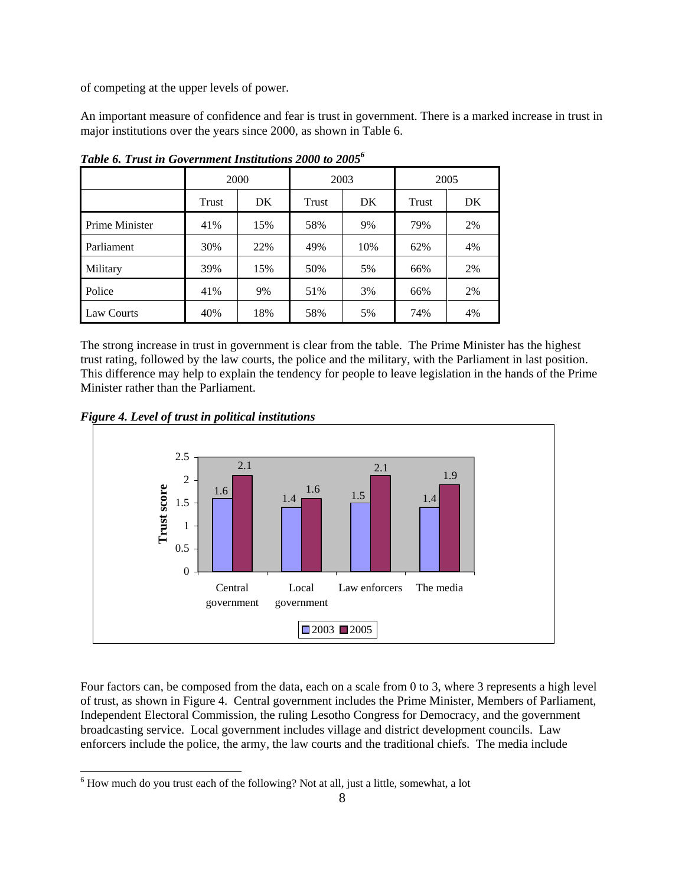of competing at the upper levels of power.

An important measure of confidence and fear is trust in government. There is a marked increase in trust in major institutions over the years since 2000, as shown in Table 6.

|                |       | 2000 |       | 2003 | 2005  |     |  |
|----------------|-------|------|-------|------|-------|-----|--|
|                | Trust | DK   | Trust | DK   | Trust | DK. |  |
| Prime Minister | 41%   | 15%  | 58%   | 9%   | 79%   | 2%  |  |
| Parliament     | 30%   | 22%  | 49%   | 10%  | 62%   | 4%  |  |
| Military       | 39%   | 15%  | 50%   | 5%   | 66%   | 2%  |  |
| Police         | 41%   | 9%   | 51%   | 3%   | 66%   | 2%  |  |
| Law Courts     | 40%   | 18%  | 58%   | 5%   | 74%   | 4%  |  |

*Table 6. Trust in Government Institutions 2000 to 20056*

The strong increase in trust in government is clear from the table. The Prime Minister has the highest trust rating, followed by the law courts, the police and the military, with the Parliament in last position. This difference may help to explain the tendency for people to leave legislation in the hands of the Prime Minister rather than the Parliament.



 $\overline{a}$ 



Four factors can, be composed from the data, each on a scale from 0 to 3, where 3 represents a high level of trust, as shown in Figure 4. Central government includes the Prime Minister, Members of Parliament, Independent Electoral Commission, the ruling Lesotho Congress for Democracy, and the government broadcasting service. Local government includes village and district development councils. Law enforcers include the police, the army, the law courts and the traditional chiefs. The media include

 $6$  How much do you trust each of the following? Not at all, just a little, somewhat, a lot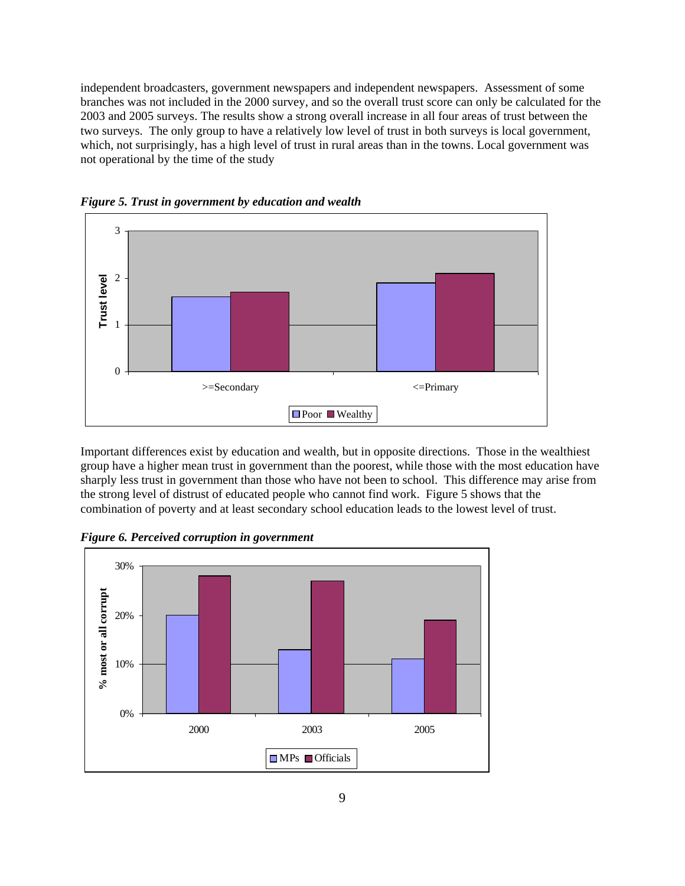independent broadcasters, government newspapers and independent newspapers. Assessment of some branches was not included in the 2000 survey, and so the overall trust score can only be calculated for the 2003 and 2005 surveys. The results show a strong overall increase in all four areas of trust between the two surveys. The only group to have a relatively low level of trust in both surveys is local government, which, not surprisingly, has a high level of trust in rural areas than in the towns. Local government was not operational by the time of the study



*Figure 5. Trust in government by education and wealth* 

Important differences exist by education and wealth, but in opposite directions. Those in the wealthiest group have a higher mean trust in government than the poorest, while those with the most education have sharply less trust in government than those who have not been to school. This difference may arise from the strong level of distrust of educated people who cannot find work. Figure 5 shows that the combination of poverty and at least secondary school education leads to the lowest level of trust.

*Figure 6. Perceived corruption in government* 

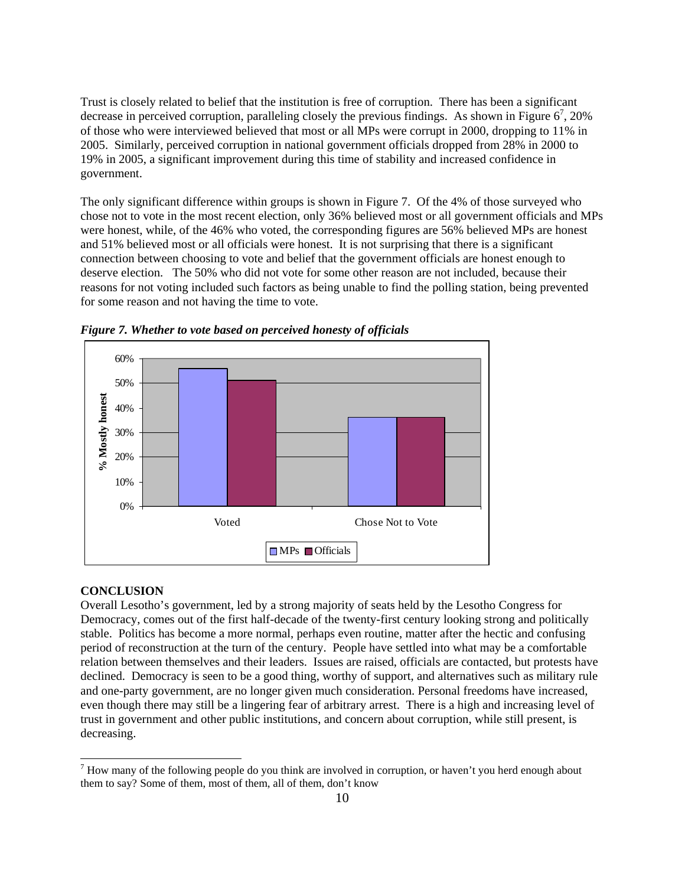Trust is closely related to belief that the institution is free of corruption. There has been a significant decrease in perceived corruption, paralleling closely the previous findings. As shown in Figure  $6^7$ , 20% of those who were interviewed believed that most or all MPs were corrupt in 2000, dropping to 11% in 2005. Similarly, perceived corruption in national government officials dropped from 28% in 2000 to 19% in 2005, a significant improvement during this time of stability and increased confidence in government.

The only significant difference within groups is shown in Figure 7. Of the 4% of those surveyed who chose not to vote in the most recent election, only 36% believed most or all government officials and MPs were honest, while, of the 46% who voted, the corresponding figures are 56% believed MPs are honest and 51% believed most or all officials were honest. It is not surprising that there is a significant connection between choosing to vote and belief that the government officials are honest enough to deserve election. The 50% who did not vote for some other reason are not included, because their reasons for not voting included such factors as being unable to find the polling station, being prevented for some reason and not having the time to vote.



*Figure 7. Whether to vote based on perceived honesty of officials* 

### **CONCLUSION**

 $\overline{a}$ 

Overall Lesotho's government, led by a strong majority of seats held by the Lesotho Congress for Democracy, comes out of the first half-decade of the twenty-first century looking strong and politically stable. Politics has become a more normal, perhaps even routine, matter after the hectic and confusing period of reconstruction at the turn of the century. People have settled into what may be a comfortable relation between themselves and their leaders. Issues are raised, officials are contacted, but protests have declined. Democracy is seen to be a good thing, worthy of support, and alternatives such as military rule and one-party government, are no longer given much consideration. Personal freedoms have increased, even though there may still be a lingering fear of arbitrary arrest. There is a high and increasing level of trust in government and other public institutions, and concern about corruption, while still present, is decreasing.

 $<sup>7</sup>$  How many of the following people do you think are involved in corruption, or haven't you herd enough about</sup> them to say? Some of them, most of them, all of them, don't know